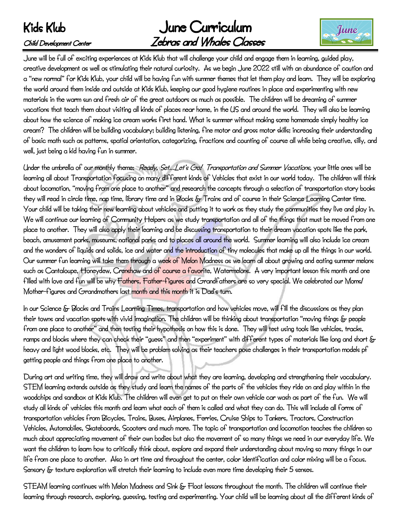# June Curriculum Child Development Center Zebras and Whales Classes



June will be full of exciting experiences at Kids Klub that will challenge your child and engage them in learning, guided play, creative development as well as stimulating their natural curiosity. As we begin June 2022 still with an abundance of caution and a "new normal" for Kids Klub, your child will be having fun with summer themes that let them play and learn. They will be exploring the world around them inside and outside at Kids Klub, keeping our good hygiene routines in place and experimenting with new materials in the warm sun and fresh air of the great outdoors as much as possible. The children will be dreaming of summer vacations that teach them about visiting all kinds of places near home, in the US and around the world. They will also be learning about how the science of making ice cream works first hand. What is summer without making some homemade simply healthy ice cream? The children will be building vocabulary; building listening, fine motor and gross motor skills; increasing their understanding of basic math such as patterns, spatial orientation, categorizing, fractions and counting of course all while being creative, silly, and well, just being a kid having fun in summer.

Under the umbrella of our monthly theme: Ready, Set…Let's Go! Transportation and Summer Vacations, your little ones will be learning all about Transportation focusing on many different kinds of Vehicles that exist in our world today. The children will think about locomotion, "moving from one place to another" and research the concepts through a selection of transportation story books they will read in circle time, nap time, library time and in Blocks & Trains and of course in their Science Learning Center time. Your child will be taking their new learning about vehicles and putting it to work as they study the communities they live and play in. We will continue our learning of Community Helpers as we study transportation and all of the things that must be moved from one place to another. They will also apply their learning and be discussing transportation to their dream vacation spots like the park, beach, amusement parks, museums, national parks and to places all around the world. Summer learning will also include ice cream and the wonders of liquids and solids, ice and water and the introduction of tiny molecules that make up all the things in our world. Our summer fun learning will take them through a week of Melon Madness as we learn all about growing and eating summer melons such as Cantaloupe, Honeydew, Crenshaw and of course a fayorite, Watermelons. A very important lesson this month and one filled with love and fun will be why Fathers, Father-figures and Grandfathers are so very special. We celebrated our Moms/ Mother-figures and Grandmothers last month and this month it is Dad's turn.

In our Science & Blocks and Trains Learning Times, transportation and how vehicles move, will fill the discussions as they plan their towns and vacation spots with vivid imagination. The children will be thinking about transportation "moving things & people from one place to another" and then testing their hypothesis on how this is done. They will test using tools like vehicles, tracks, ramps and blocks where they can check their "guess" and then "experiment" with different types of materials like long and short & heavy and light wood blocks, etc. They will be problem solving as their teachers pose challenges in their transportation models pf getting people and things from one place to another.

During art and writing time, they will draw and write about what they are learning, developing and strengthening their vocabulary. STEM learning extends outside as they study and learn the names of the parts of the vehicles they ride on and play within in the woodchips and sandbox at Kids Klub. The children will even get to put on their own vehicle car wash as part of the fun. We will study all kinds of vehicles this month and learn what each of them is called and what they can do. This will include all forms of transportation vehicles from Bicycles, Trains, Buses, Airplanes, Ferries, Cruise Ships to Tankers, Tractors, Construction Vehicles, Automobiles, Skateboards, Scooters and much more. The topic of transportation and locomotion teaches the children so much about appreciating movement of their own bodies but also the movement of so many things we need in our everyday life. We want the children to learn how to critically think about, explore and expand their understanding about moving so many things in our life from one place to another. Also in art time and throughout the center, color identification and color mixing will be a focus. Sensory & texture exploration will stretch their learning to include even more time developing their 5 senses.

STEAM learning continues with Melon Madness and Sink & Float lessons throughout the month. The children will continue their learning through research, exploring, guessing, testing and experimenting. Your child will be learning about all the different kinds of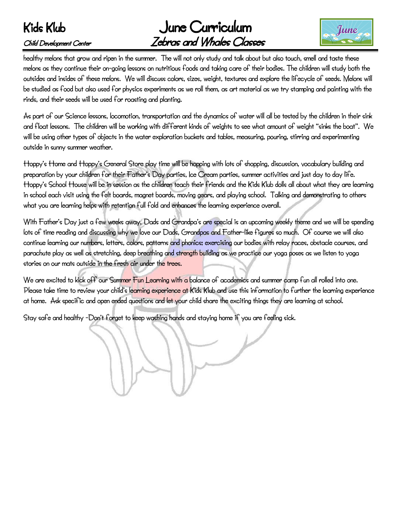# June Curriculum Child Development Center Zebras and Whales Classes



healthy melons that grow and ripen in the summer. The will not only study and talk about but also touch, smell and taste these melons as they continue their on-going lessons on nutritious foods and taking care of their bodies. The children will study both the outsides and insides of these melons. We will discuss colors, sizes, weight, textures and explore the lifecycle of seeds. Melons will be studied as food but also used for physics experiments as we roll them, as art material as we try stamping and painting with the rinds, and their seeds will be used for roasting and planting.

As part of our Science lessons, locomotion, transportation and the dynamics of water will all be tested by the children in their sink and float lessons. The children will be working with different kinds of weights to see what amount of weight "sinks the boat". We will be using other types of objects in the water exploration buckets and tables, measuring, pouring, stirring and experimenting outside in sunny summer weather.

Hoppy's Home and Hoppy's General Store play time will be hopping with lots of shopping, discussion, vocabulary building and preparation by your children for their Father's Day parties, Ice Cream parties, summer activities and just day to day life. Hoppy's School House will be in session as the children teach their friends and the Kids Klub dolls all about what they are learning in school each visit using the felt boards, magnet boards, moving gears, and playing school. Talking and demonstrating to others what you are learning helps with retention full fold and enhances the learning experience overall.

With Father's Day just a few weeks away, Dads and Grandpa's are special is an upcoming weekly theme and we will be spending lots of time reading and discussing why we love our Dads, Grandpas and Father-like figures so much. Of course we will also continue learning our numbers, letters, colors, patterns and phonics; exercising our bodies with relay races, obstacle courses, and parachute play as well as stretching, deep breathing and strength building as we practice our yoga poses as we listen to yoga stories on our mats outside in the fresh air under the trees.

We are excited to kick off our Summer Fun Learning with a balance of academics and summer camp fun all rolled into one. Please take time to review your child's learning experience at Kids Klub and use this information to further the learning experience at home. Ask specific and open ended questions and let your child share the exciting things they are learning at school.

Stay safe and healthy -Don't forget to keep washing hands and staying home if you are feeling sick.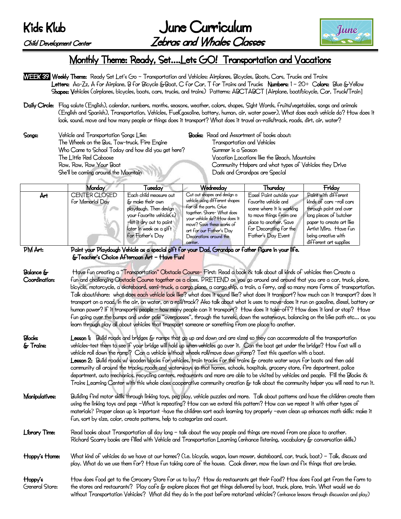

## Monthly Theme: Ready, Set….Lets GO! Transportation and Vacations

- WEEK 39 Weekly Theme: Ready Set Let's Go Transportation and Vehicles: Airplanes, Bicycles, Boats, Cars, Trucks and Trains Letters: Aa-Zz, A for Airplane, B for Bicycle &Boat, C for Car, T for Trains and Trucks Numbers: 1 – 20+ Colors: Blue &Yellow Shapes: Vehicles (airplanes, bicycles, boats, cars, trucks, and trains) Patterns: ABCTABCT [Airplane, boat/bicycle, Car, Truck/Train]
- Daily Circle: Flag salute (English), calendar, numbers, months, seasons, weather, colors, shapes, Sight Words, fruits/vegetables, songs and animals (English and Spanish), Transportation, Vehicles, Fuel(gasoline, battery, human, air, water power), What does each vehicle do? How does it look, sound, move and how many people or things does it transport? What does it travel on-rails/track, roads, dirt, air, water?
- Songs: Vehicle and Transportation Songs Like: Books: Read and Assortment of books about: The Wheels on the Bus, Tow-truck, Fire Engine Transportation and Vehicles Who Came to School Today and how did you get here? Summer is a Season The Little Red Caboose Vacation Locations like the Beach, Mountains She'll be coming around the Mountain Dads and Grandpas are Special

Row, Row, Row Your Boat Community Helpers and what types of Vehicles they Drive

|         | Monday                            | Tuesdav                                                                                                                                                                               | Wednesday                                                                                                                                                                                                                                            | Thurstav                                                                                                                                                                           | Friday                                                                                                                                                                                                     |
|---------|-----------------------------------|---------------------------------------------------------------------------------------------------------------------------------------------------------------------------------------|------------------------------------------------------------------------------------------------------------------------------------------------------------------------------------------------------------------------------------------------------|------------------------------------------------------------------------------------------------------------------------------------------------------------------------------------|------------------------------------------------------------------------------------------------------------------------------------------------------------------------------------------------------------|
| Ärt     | CENTER CLOSED<br>for Memorial Day | Each child measure out<br>& make their own<br>playdough. Then design<br>your fayorite yehicle(s)<br>$-\text{let it dry out to paint }$<br>later in week as a gift<br>for Father's Day | Cut out shapes and design a<br>yehicle using different shapes<br>for all the parts. Glue<br>together. Share- What does<br>your yehicle do? How does it<br>move? Save these works of<br>art for our Father's Day<br>Decorations around the<br>center. | Easel Paint outside your<br>favorite vehicle and<br>scene where it is working<br>to move things from one<br>place to another. Saye<br>for Decorating for the<br>Father's Day Event | Paint with different<br>kinds of cars -roll cars<br>through paint and over<br>long pieces of butcher<br>paper to create art like<br>Årtist Miro. Have fun<br>being creative with<br>different art supplies |
| PM Art: |                                   |                                                                                                                                                                                       | Paint your Playdough Vehicle as a special gift for your Dad, Grandpa or father figure in your life.                                                                                                                                                  |                                                                                                                                                                                    |                                                                                                                                                                                                            |

### &Teacher's Choice Afternoon Art – Have Fun!

Balance & Have fun creating a "Transportation" Obstacle Course- First: Read a book & talk about all kinds of vehicles then Create a Coordination: fun and challenging Obstacle Course together as a class. PRETEND as you go around and around that you are a car, truck, plane, bicycle, motorcycle, a skateboard, semi-truck, a cargo plane, a cargo ship, a train, a ferry, and so many more forms of transportation. Talk about/share: what does each vehicle look like? what does it sound like? what does it transport? how much can it transport? does it transport on a road, in the air, on water, on a rail/track? Also talk about what is uses to move-does it run on gasoline, diesel, battery or human power? If it transports people – how many people can it transport? How does it take-off? How does it land or stop? Have fun going over the bumps and under pole "overpasses", through the tunnels, down the waterways, balancing on the bike path etc… as you learn through play all about vehicles that transport someone or something from one place to another.

- Blocks Lesson 1: Build roads and bridges & ramps that go up and down and are sized so they can accommodate all the transportation & Trains: vehicles-test them to see if your bridge will hold up when vehicles go over it. Can the boat get under the bridge? How fast will a vehicle roll down the ramp? Can a vehicle without wheels roll/move down a ramp? Test this question with a boat. Lesson 2: Build roads w/ wooden blocks for vehicles, train tracks for the trains & create water ways for boats and then add community all around the tracks, roads and waterways so that homes, schools, hospitals, grocery store, fire department, police department, auto mechanics, recycling centers, restaurants and more are able to be visited by vehicles and people. Fill the Blocks & Trains Learning Center with this whole class cooperative community creation & talk about the community helper you will need to run it.
- Manipulatives: Building find motor skills through linking toys, peg play, vehicle puzzles and more. Talk about patterns and have the children create them using the linking toys and pegs –What is repeating? How can we extend this pattern? How can we repeat it with other types of materials? Proper clean up is important -have the children sort each learning toy properly –even clean up enhances math skills: make it fun, sort by size, color, create patterns, help to categorize and count.
- Library Time: Read books about Transportation all day long talk about the way people and things are moved from one place to another. Richard Scarry books are filled with Vehicle and Transportation Learning (enhance listening, vocabulary & conversation skills)
- Hoppy's Home: What kind of vehicles do we have at our homes? (i.e. bicycle, wagon, lawn mower, skateboard, car, truck, boat) Talk, discuss and play. What do we use them for? Have fun taking care of the house. Cook dinner, mow the lawn and fix things that are broke.
- Hoppy's How does food get to the Grocery Store for us to buy? How do restaurants get their food? How does food get from the farm to General Store: the stores and restaurants? Play cafe & explore places that get things delivered by boat, truck, plane, train. What would we do without Transportation Vehicles? What did they do in the past before motorized vehicles? (enhance lessons through discussion and play)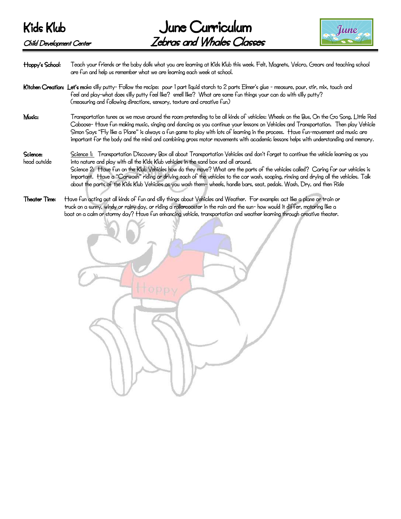

Hoppy's School: Teach your friends or the baby dolls what you are learning at Kids Klub this week. Felt, Magnets, Velcro, Gears and teaching school are fun and help us remember what we are learning each week at school.

- Kitchen Creation: Let's make silly putty- Follow the recipe: pour 1 part liquid starch to 2 parts Elmer's glue measure, pour, stir, mix, touch and feel and play-what does silly putty feel like? smell like? What are some fun things your can do with silly putty? (measuring and following directions, sensory, texture and creative fun)
- Music: Transportation tunes as we move around the room pretending to be all kinds of vehicles: Wheels on the Bus, On the Go Song, Little Red Caboose- Have fun making music, singing and dancing as you continue your lessons on Vehicles and Transportation. Then play Vehicle Simon Says "Fly like a Plane" is always a fun game to play with lots of learning in the process. Have fun-movement and music are important for the body and the mind and combining gross motor movements with academic lessons helps with understanding and memory.
- Science: Science 1: Transportation Discovery Box all about Transportation Vehicles and don't forget to continue the vehicle learning as you head outside into nature and play with all the Kids Klub vehicles in the sand box and all around. Science 2: Have fun on the Klub Vehicles how do they move? What are the parts of the vehicles called? Caring for our vehicles is important. Have a "Carwash" riding or driving each of the vehicles to the car wash, soaping, rinsing and drying all the vehicles. Talk about the parts of the Kids Klub Vehicles as you wash them– wheels, handle bars, seat, pedals. Wash, Dry, and then Ride
- Theater Time: Have fun acting out all kinds of fun and silly things about Vehicles and Weather. For example: act like a plane or train or truck on a sunny, windy or rainy day, or riding a rollercoaster in the rain and the sun- how would it differ, motoring like a boat on a calm or stormy day? Have fun enhancing vehicle, transportation and weather learning through creative theater.

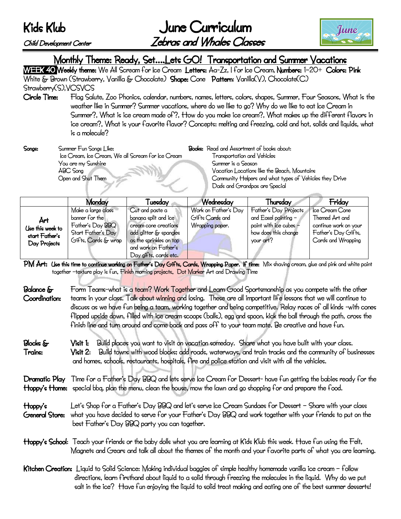June Curriculum Child Development Center Zebras and Whales Classes



## Monthly Theme: Ready, Set….Lets GO! Transportation and Summer Vacations

WEEK 40 Weekly theme: We All Scream for Ice Cream Letters: Aa-Zz, I for Ice Cream, Numbers: 1-20+ Colors: Pink White & Brown (Strawberry, Vanilla & Chocolate) Shape: Cone Pattern: Vanilla(V), Chocolate(C) Strawberry(S), VCSVCS

Circle Time: Flag Salute, Zoo Phonics, calendar, numbers, names, letters, colors, shapes, Summer, Four Seasons, What is the weather like in Summer? Summer vacations, where do we like to go? Why do we like to eat Ice Cream in Summer?, What is ice cream made of?, How do you make ice cream?, What makes up the different flavors in ice cream?, What is your favorite flavor? Concepts: melting and freezing, cold and hot, solids and liquids, what is a molecule?

Songs: Summer Fun Songs Like: Books: Read and Assortment of books about: Ice Cream, Ice Cream, We all Scream for Ice Cream Transportation and Vehicles You are my Sunshine Summer is a Season ABC Song Vacation Locations like the Beach, Mountains

Open and Shut Them Community Helpers and what types of Vehicles they Drive Dads and Grandpas are Special

|                                                           | Monday                                                                                                | [uesday                                                                                                                                                               | Wednesday                                                  | Thursday                                                                                                     | Friday                                                                                                 |
|-----------------------------------------------------------|-------------------------------------------------------------------------------------------------------|-----------------------------------------------------------------------------------------------------------------------------------------------------------------------|------------------------------------------------------------|--------------------------------------------------------------------------------------------------------------|--------------------------------------------------------------------------------------------------------|
| Årt<br>Use this week to<br>start Father's<br>Day Projects | Make a large class<br>banner for the<br>Father's Day BBQ<br>Start Father's Day<br>Gifts, Cards & wrap | Cut and paste a<br>banana split and ice<br>cream cone creations<br>add glitter & spangles<br>as the sprinkles on top<br>and work on Father's<br>Day gifts, cards etc. | Work on Father's Day<br>Gifts Cards and<br>Wrapping paper. | Father's Day Projects<br>and Easel painting -<br>paint with ice cubes -<br>how does this change<br>your art? | Ice Cream Cone<br>Themed Art and<br>continue work on your<br>Father's Day Gifts,<br>Cards and Wrapping |

PM Art: Use this time to continue working on Father's Day Gifts, Cards, Wrapping Paper. If time: Mix shaving cream, glue and pink and white paint together -texture play is fun. Finish morning projects. Dot Marker Art and Drawing Time

Balance & Form Teams-what is a team? Work Together and Learn Good Sportsmanship as you compete with the other Coordination: teams in your class. Talk about winning and losing. These are all important life lessons that we will continue to discuss as we have fun being a team, working together and being competitive. Relay races of all kinds -with cones flipped upside down, filled with ice cream scoops (balls), egg and spoon, kick the ball through the path, cross the finish line and turn around and come back and pass off to your team mate. Be creative and have fun.

Blocks & Visit 1: Build places you want to visit on vacation someday. Share what you have built with your class. Trains: Visit 2: Build towns with wood blocks; add roads, waterways, and train tracks and the community of businesses and homes, schools, restaurants, hospitals, fire and police station and visit with all the vehicles.

Dramatic Play Time for a Father's Day BBQ and lets serve Ice Cream for Dessert- have fun getting the babies ready for the Hoppy's Home: special bbq, plan the menu, clean the house, mow the lawn and go shopping for and prepare the food.

- Hoppy's Let's Shop for a Father's Day BBQ and let's serve Ice Cream Sundaes for Dessert Share with your class General Store: what you have decided to serve for your Father's Day BBQ and work together with your friends to put on the best Father's Day BBQ party you can together.
- Hoppy's School: Teach your friends or the baby dolls what you are learning at Kids Klub this week. Have fun using the Felt, Magnets and Gears and talk all about the themes of the month and your favorite parts of what you are learning.
- Kitchen Creation: Liquid to Solid Science: Making individual baggies of simple healthy homemade vanilla ice cream follow directions, learn firsthand about liquid to a solid through freezing the molecules in the liquid. Why do we put salt in the ice? Have fun enjoying the liquid to solid treat making and eating one of the best summer desserts!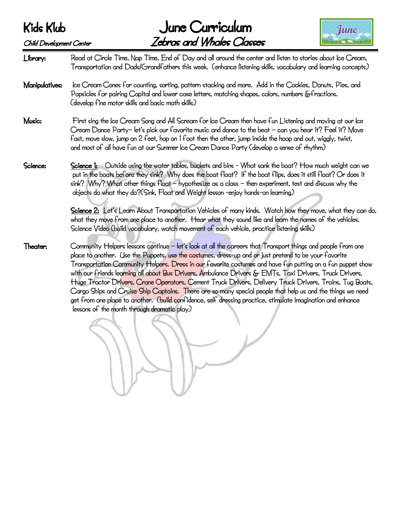June Curriculum Child Development Center Zebras and Whales Classes



Library: Read at Circle Time, Nap Time, End of Day and all around the center and listen to stories about Ice Cream, Transportation and Dads/Grandfathers this week. (enhance listening skills, vocabulary and learning concepts) Manipulatives: Ice Cream Cones for counting, sorting, pattern stacking and more. Add in the Cookies, Donuts, Pies, and Popsicles for pairing Capital and lower case letters, matching shapes, colors, numbers &fractions. (develop fine motor skills and basic math skills) Music: First sing the Ice Cream Song and All Scream for Ice Cream then have fun Listening and moving at our Ice Cream Dance Party– let's pick our favorite music and dance to the beat – can you hear it? Feel it? Move fast, move slow, jump on 2 feet, hop on 1 foot then the other, jump inside the hoop and out, wiggly, twist, and most of all have fun at our Summer Ice Cream Dance Party (develop a sense of rhythm) Science: Science 1: Outside using the water tables, buckets and bins - What sank the boat? How much weight can we put in the boats before they sink? Why does the boat float? If the boat flips, does it still float? Or does it sink? Why? What other things float – hypothesize as a class – then experiment, test and discuss why the objects do what they do?(Sink, Float and Weight lesson -enjoy hands-on learning) Science 2: Let's Learn About Transportation Vehicles of many kinds. Watch how they move, what they can do, what they move from one place to another. Hear what they sound like and learn the names of the vehicles. Science Video (build vocabulary, watch movement of each vehicle, practice listening skills) Theater: Community Helpers lessons continue – let's look at all the careers that Transport things and people from one place to another. Use the Puppets, use the costumes, dress-up and or just pretend to be your favorite Transportation Community Helpers. Dress in our favorite costumes and have fun putting on a fun puppet show with our friends learning all about Bus Drivers, Ambulance Drivers & EMTs, Taxi Drivers, Truck Drivers, Huge Tractor Drivers, Crane Operators, Cement Truck Drivers, Delivery Truck Drivers, Trains, Tug Boats, Cargo Ships and Cruise Ship Captains. There are so many special people that help us and the things we need get from one place to another. (build confidence, self dressing practice, stimulate imagination and enhance lessons of the month through dramatic play)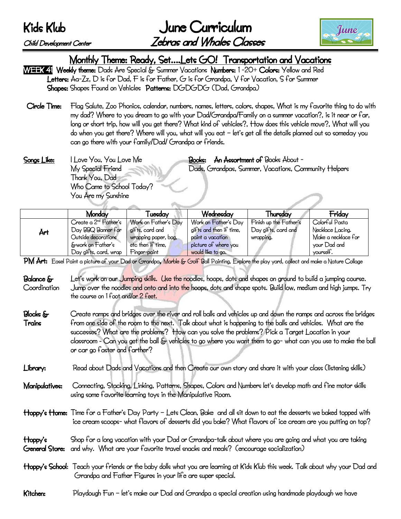June Curriculum Child Development Center Zebras and Whales Classes



### Monthly Theme: Ready, Set….Lets GO! Transportation and Vacations

- WEEK 41 Weekly theme: Dads Are Special & Summer Vacations Numbers: 1-20+ Colors: Yellow and Red Letters: Aa-Zz, D is for Dad, F is for Father, G is for Grandpa, V for Vacation, S for Summer Shapes: Shapes Found on Vehicles Patterns: DGDGDG (Dad, Grandpa):
- Circle Time: Flag Salute, Zoo Phonics, calendar, numbers, names, letters, colors, shapes, What is my favorite thing to do with my dad? Where to you dream to go with your Dad/Grandpa/Family on a summer vacation?, is it near or far, long or short trip, how will you get there? What kind of vehicles?, How does this vehicle move?, What will you do when you get there? Where will you, what will you eat – let's get all the details planned out so someday you can go there with your family/Dad/ Grandpa or friends.
- Songs Like: I Love You, You Love Me Books: An Assortment of Books About -My Special Friend Dads, Grandpas, Summer, Vacations, Community Helpers Thank You, Dad Who Came to School Today? You Are my Sunshine

|     | Monday                            | ruesday              | Wednesday               | Thursday               | Friday              |  |
|-----|-----------------------------------|----------------------|-------------------------|------------------------|---------------------|--|
|     | Create a 2 <sup>nd</sup> Father's | Work on Father's Day | Work on Father's Day    | Finish up the Father's | Colorful Pasta      |  |
| Årt | Day BBQ Banner for                | gifts, card and      | gifts and then if time, | Day gifts, card and    | Necklace Lacing.    |  |
|     | Outside decorations               | wrapping paper, bag, | paint a yacation        | wrapping.              | Make a necklace for |  |
|     | &work on Father's                 | etc then if time,    | picture of where you    |                        | your Dad and        |  |
|     | Day gifts, card, wrap             | Finger-paint         | would like to go.       |                        | yourself.           |  |

PM Art: Easel Paint a picture of your Dad or Grandpa, Marble & Golf Ball Painting, Explore the play yard, collect and make a Nature Collage

- Balance & Let's work on our Jumping skills. Use the noodles, hoops, dots and shapes on ground to build a jumping course. Coordination Jump over the noodles and onto and into the hoops, dots and shape spots. Build low, medium and high jumps. Try the course on 1 foot and/or 2 feet.
- Blocks & Create ramps and bridges over the river and roll balls and vehicles up and down the ramps and across the bridges Trains from one side of the room to the next. Talk about what is happening to the balls and vehicles. What are the successes? What are the problems? How can you solve the problems? Pick a Target Location in your classroom - Can you get the ball & vehicles to go where you want them to go- what can you use to make the ball or car go faster and farther?
- Library: Read about Dads and Vacations and then Create our own story and share it with your class (listening skills)
- Manipulatives: Connecting, Stacking, Linking, Patterns, Shapes, Colors and Numbers let's develop math and fine motor skills using some favorite learning toys in the Manipulative Room.
- Hoppy's Home: Time for a Father's Day Party Lets Clean, Bake and all sit down to eat the desserts we baked topped with ice cream scoops- what flavors of desserts did you bake? What flavors of ice cream are you putting on top?
- Hoppy's Shop for a long vacation with your Dad or Grandpa-talk about where you are going and what you are taking General Store: and why. What are your favorite travel snacks and meals? (encourage socialization)
- Hoppy's School: Teach your friends or the baby dolls what you are learning at Kids Klub this week. Talk about why your Dad and Grandpa and Father Figures in your life are super special.

### Kitchen: Playdough Fun – let's make our Dad and Grandpa a special creation using handmade playdough we have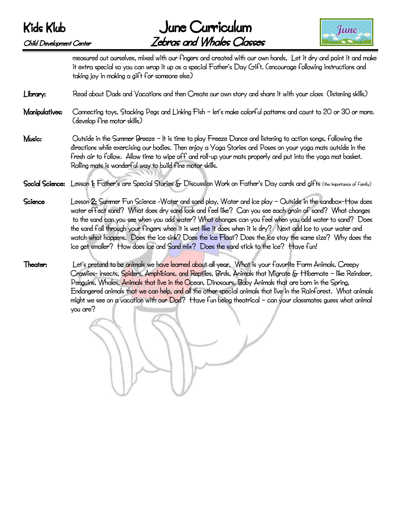

measured out ourselves, mixed with our fingers and created with our own hands, Let it dry and paint it and make it extra special so you can wrap it up as a special Father's Day Gift. (encourage following instructions and taking joy in making a gift for someone else)

### Library: Read about Dads and Vacations and then Create our own story and share it with your class (listening skills)

- Manipulatives: Connecting toys, Stacking Pegs and Linking Fish let's make colorful patterns and count to 20 or 30 or more. (develop fine motor skills)
- Music: Outside in the Summer Breeze It is time to play Freeze Dance and listening to action songs, following the directions while exercising our bodies. Then enjoy a Yoga Stories and Poses on your yoga mats outside in the fresh air to follow. Allow time to wipe off and roll-up your mats properly and put into the yoga mat basket. Rolling mats is wonderful way to build fine motor skills.
- Social Science: Lesson 1: Father's are Special Stories & Discussion Work on Father's Day cards and gifts (the importance of family)
- Science Lesson 2: Summer Fun Science -Water and sand play, Water and Ice play Outside in the sandbox-How does water effect sand? What does dry sand look and feel like? Can you see each grain of sand? What changes to the sand can you see when you add water? What changes can you feel when you add water to sand? Does the sand fall through your fingers when it is wet like it does when it is dry? Next add Ice to your water and watch what happens. Does the ice sink? Does the ice Float? Does the ice stay the same size? Why does the ice get smaller? How does Ice and Sand mix? Does the sand stick to the ice? Have fun!
- Theater: Let's pretend to be animals we have learned about all year. What is your favorite Farm Animals, Creepy Crawlies- Insects, Spiders, Amphibians, and Reptiles, Birds, Animals that Migrate & Hibernate – like Reindeer, Penguins, Whales, Animals that live in the Ocean, Dinosaurs, Baby Animals that are born in the Spring, Endangered animals that we can help, and all the other special animals that live in the Rainforest. What animals might we see on a vacation with our Dad? Have fun being theatrical – can your classmates guess what animal you are?

Ĩ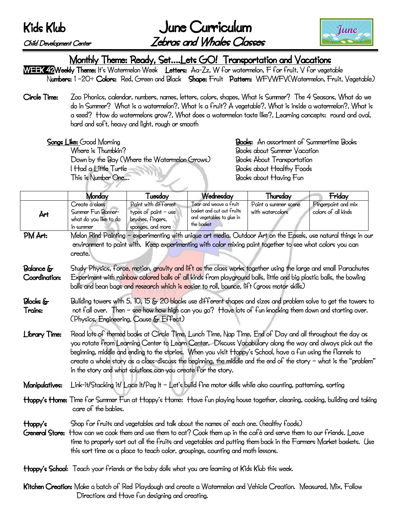June Curriculum Child Development Center Zebras and Whales Classes



## Monthly Theme: Ready, Set….Lets GO! Transportation and Vacations

WEEK 42Weekly Theme: It's Watermelon Week Letters: Aa-Zz, W for watermelon, F for fruit, V for vegetable Numbers: 1 –20+ Colors: Red, Green and Black Shape: Fruit Pattern: WFVWFV(Watermelon, Fruit, Vegetable)

Circle Time: Zoo Phonics, calendar, numbers, names, letters, colors, shapes, What is Summer? The 4 Seasons, What do we do in Summer? What is a watermelon?, What is a fruit? A vegetable?, What is inside a watermelon?, What is a seed? How do watermelons grow?, What does a watermelon taste like?, Learning concepts: round and oval, hard and soft, heavy and light, rough or smooth

 Where is Thumbkin? Books about Summer Vacation Down by the Bay (Where the Watermelon Grows) Books About Transportation I Had a Little Turtle **Foods** This is Number One… Books about Having Fun

Songs Like: Good Morning **Books:** An assortment of Summertime Books

|                                                                                                                                                   | Monday                                                                                                                                                                                                                                                                                                                                                                                                                                                                                                                       | Tuesday                                                                                  | Wednesday                                                                                          | Thursday                                 | Friday                                     |  |
|---------------------------------------------------------------------------------------------------------------------------------------------------|------------------------------------------------------------------------------------------------------------------------------------------------------------------------------------------------------------------------------------------------------------------------------------------------------------------------------------------------------------------------------------------------------------------------------------------------------------------------------------------------------------------------------|------------------------------------------------------------------------------------------|----------------------------------------------------------------------------------------------------|------------------------------------------|--------------------------------------------|--|
| Årt                                                                                                                                               | Create a class<br>Summer Fun Banner-<br>what do you like to do<br>in summer                                                                                                                                                                                                                                                                                                                                                                                                                                                  | Paint with different<br>types of paint $-$ use<br>brushes, fingers,<br>sponges, and more | Tear and weave a fruit<br>basket and cut out fruits<br>and vegetables to glue in<br>the basket     | Paint a summer scene<br>with watercolors | Fingerpaint and mix<br>colors of all kinds |  |
| PM Art:                                                                                                                                           | Melon Rind Painting – experimenting with unique art media. Outdoor Art on the Easels, use natural things in our<br>environment to paint with. Keep experimenting with color mixing paint together to see what colors you can<br>create.                                                                                                                                                                                                                                                                                      |                                                                                          |                                                                                                    |                                          |                                            |  |
| <b>Balance</b> &<br>Coordination:                                                                                                                 | Study Physics, force, motion, gravity and lift as the class works together using the large and small Parachutes<br>Experiment with rainbow colored balls of all kinds from playground balls, little and big plastic balls, the bowling<br>balls and bean bags and research which is easier to roll, bounce, lift (gross motor skills)                                                                                                                                                                                        |                                                                                          |                                                                                                    |                                          |                                            |  |
| <b>Blocks</b> &<br>Trains:                                                                                                                        | Building towers with 5, 10, 15 & 20 blocks use different shapes and sizes and problem solve to get the towers to<br>not fall over. Then - see how how high can you go? Have lots of fun knocking them down and starting over.<br>(Physics, Engineering, Cause & Effect)                                                                                                                                                                                                                                                      |                                                                                          |                                                                                                    |                                          |                                            |  |
| Library Time:                                                                                                                                     | Read lots of themed books at Circle Time, Lunch Time, Nap Time, End of Day and all throughout the day as<br>you rotate from Learning Center to Learn Center. Discuss Vocabulary along the way and always pick out the<br>beginning, middle and ending to the stories. When you visit Hoppy's School, have a fun using the flannels to<br>create a whole story as a class-discuss the beginning, the middle and the end of the story - what is the "problem"<br>in the story and what solutions can you create for the story. |                                                                                          |                                                                                                    |                                          |                                            |  |
| Manipulatives:                                                                                                                                    | Link-it/Stacking it/ Lace It/Peg It - Let's build fine motor skills while also counting, patterning, sorting                                                                                                                                                                                                                                                                                                                                                                                                                 |                                                                                          |                                                                                                    |                                          |                                            |  |
| Hoppy's Home: Time for Summer Fun at Hoppy's Home: Have fun playing house together, cleaning, cooking, building and taking<br>care of the babies. |                                                                                                                                                                                                                                                                                                                                                                                                                                                                                                                              |                                                                                          |                                                                                                    |                                          |                                            |  |
| Hoppy's<br>General Store:                                                                                                                         | Shop for fruits and vegetables and talk about the names of each one. (healthy foods)<br>How can we cook them and use them to eat? Cook them up in the café and serve them to our friends. Leave<br>time to properly sort out all the fruits and vegetables and putting them back in the Farmers Market baskets. Use<br>this sort time as a place to teach color, groupings, counting and math lessons.                                                                                                                       |                                                                                          |                                                                                                    |                                          |                                            |  |
|                                                                                                                                                   |                                                                                                                                                                                                                                                                                                                                                                                                                                                                                                                              |                                                                                          | Hoppy's School: Teach your friends or the baby dolls what you are learning at Kids Klub this week. |                                          |                                            |  |

Kitchen Creation: Make a batch of Red Playdough and create a Watermelon and Vehicle Creation. Measured, Mix, Follow Directions and Have fun designing and creating.